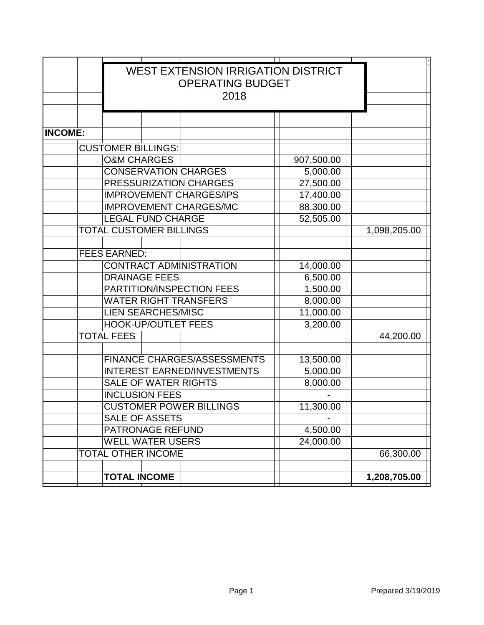|                | <b>WEST EXTENSION IRRIGATION DISTRICT</b><br><b>OPERATING BUDGET</b> |                                |                               |  |            |  |              |
|----------------|----------------------------------------------------------------------|--------------------------------|-------------------------------|--|------------|--|--------------|
|                |                                                                      | 2018                           |                               |  |            |  |              |
|                |                                                                      |                                |                               |  |            |  |              |
| <b>INCOME:</b> |                                                                      |                                |                               |  |            |  |              |
|                | <b>CUSTOMER BILLINGS:</b>                                            |                                |                               |  |            |  |              |
|                | <b>O&amp;M CHARGES</b>                                               |                                |                               |  | 907,500.00 |  |              |
|                |                                                                      |                                | <b>CONSERVATION CHARGES</b>   |  | 5,000.00   |  |              |
|                | PRESSURIZATION CHARGES                                               |                                |                               |  | 27,500.00  |  |              |
|                |                                                                      | <b>IMPROVEMENT CHARGES/IPS</b> |                               |  | 17,400.00  |  |              |
|                |                                                                      |                                | <b>IMPROVEMENT CHARGES/MC</b> |  | 88,300.00  |  |              |
|                |                                                                      | <b>LEGAL FUND CHARGE</b>       |                               |  | 52,505.00  |  |              |
|                | <b>TOTAL CUSTOMER BILLINGS</b>                                       |                                |                               |  |            |  | 1,098,205.00 |
|                |                                                                      |                                |                               |  |            |  |              |
|                | <b>FEES EARNED:</b>                                                  |                                |                               |  |            |  |              |
|                | <b>CONTRACT ADMINISTRATION</b>                                       |                                |                               |  | 14,000.00  |  |              |
|                | <b>DRAINAGE FEES</b>                                                 |                                |                               |  | 6,500.00   |  |              |
|                | PARTITION/INSPECTION FEES                                            |                                |                               |  | 1,500.00   |  |              |
|                |                                                                      | <b>WATER RIGHT TRANSFERS</b>   |                               |  | 8,000.00   |  |              |
|                | <b>LIEN SEARCHES/MISC</b>                                            |                                |                               |  | 11,000.00  |  |              |
|                |                                                                      | <b>HOOK-UP/OUTLET FEES</b>     |                               |  | 3,200.00   |  |              |
|                | <b>TOTAL FEES</b>                                                    |                                |                               |  |            |  | 44,200.00    |
|                |                                                                      |                                |                               |  |            |  |              |
|                | <b>FINANCE CHARGES/ASSESSMENTS</b>                                   |                                |                               |  | 13,500.00  |  |              |
|                | <b>INTEREST EARNED/INVESTMENTS</b>                                   |                                |                               |  | 5,000.00   |  |              |
|                | <b>SALE OF WATER RIGHTS</b>                                          |                                |                               |  | 8,000.00   |  |              |
|                | <b>INCLUSION FEES</b>                                                |                                |                               |  |            |  |              |
|                | <b>CUSTOMER POWER BILLINGS</b>                                       |                                |                               |  | 11,300.00  |  |              |
|                | <b>SALE OF ASSETS</b>                                                |                                |                               |  |            |  |              |
|                | PATRONAGE REFUND                                                     |                                |                               |  | 4,500.00   |  |              |
|                | <b>WELL WATER USERS</b><br>TOTAL OTHER INCOME                        |                                |                               |  | 24,000.00  |  | 66,300.00    |
|                |                                                                      |                                |                               |  |            |  |              |
|                | <b>TOTAL INCOME</b>                                                  |                                |                               |  |            |  | 1,208,705.00 |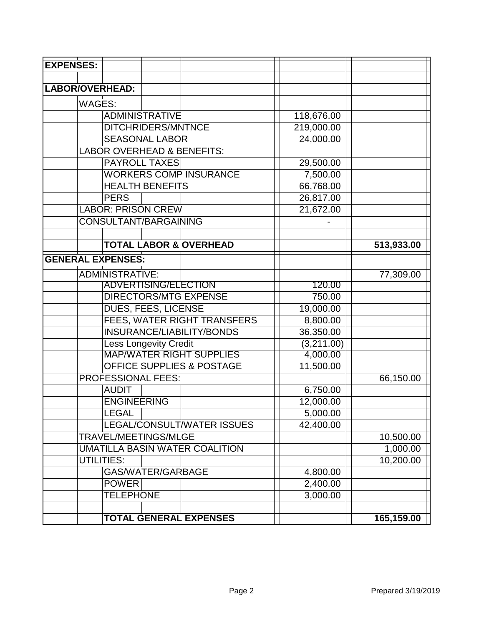| <b>EXPENSES:</b>         |                                       |           |            |            |
|--------------------------|---------------------------------------|-----------|------------|------------|
|                          |                                       |           |            |            |
| LABOR/OVERHEAD:          |                                       |           |            |            |
| WAGES:                   |                                       |           |            |            |
|                          | <b>ADMINISTRATIVE</b>                 |           | 118,676.00 |            |
|                          | DITCHRIDERS/MNTNCE                    |           | 219,000.00 |            |
|                          | <b>SEASONAL LABOR</b>                 |           | 24,000.00  |            |
|                          | <b>LABOR OVERHEAD &amp; BENEFITS:</b> |           |            |            |
|                          | <b>PAYROLL TAXES</b>                  |           | 29,500.00  |            |
|                          | <b>WORKERS COMP INSURANCE</b>         |           | 7,500.00   |            |
|                          | <b>HEALTH BENEFITS</b>                |           | 66,768.00  |            |
|                          | <b>PERS</b>                           |           | 26,817.00  |            |
|                          | <b>LABOR: PRISON CREW</b>             |           | 21,672.00  |            |
|                          | CONSULTANT/BARGAINING                 |           |            |            |
|                          |                                       |           |            |            |
|                          | <b>TOTAL LABOR &amp; OVERHEAD</b>     |           |            | 513,933.00 |
| <b>GENERAL EXPENSES:</b> |                                       |           |            |            |
|                          | <b>ADMINISTRATIVE:</b>                |           |            | 77,309.00  |
|                          | <b>ADVERTISING/ELECTION</b>           |           | 120.00     |            |
|                          | <b>DIRECTORS/MTG EXPENSE</b>          |           | 750.00     |            |
|                          | DUES, FEES, LICENSE                   |           | 19,000.00  |            |
|                          | FEES, WATER RIGHT TRANSFERS           |           | 8,800.00   |            |
|                          | INSURANCE/LIABILITY/BONDS             |           | 36,350.00  |            |
|                          | <b>Less Longevity Credit</b>          |           | (3,211.00) |            |
|                          | <b>MAP/WATER RIGHT SUPPLIES</b>       | 4,000.00  |            |            |
|                          | <b>OFFICE SUPPLIES &amp; POSTAGE</b>  | 11,500.00 |            |            |
| PROFESSIONAL FEES:       |                                       |           |            | 66,150.00  |
|                          | <b>AUDIT</b>                          |           | 6,750.00   |            |
|                          | <b>ENGINEERING</b>                    |           | 12,000.00  |            |
|                          | <b>LEGAL</b>                          |           | 5,000.00   |            |
|                          | LEGAL/CONSULT/WATER ISSUES            |           | 42,400.00  |            |
|                          | TRAVEL/MEETINGS/MLGE                  |           |            | 10,500.00  |
|                          | <b>UMATILLA BASIN WATER COALITION</b> |           |            | 1,000.00   |
|                          | UTILITIES:                            |           |            | 10,200.00  |
|                          | GAS/WATER/GARBAGE                     |           | 4,800.00   |            |
|                          | <b>POWER</b>                          |           | 2,400.00   |            |
|                          | <b>TELEPHONE</b>                      |           | 3,000.00   |            |
|                          |                                       |           |            |            |
|                          | <b>TOTAL GENERAL EXPENSES</b>         |           |            | 165,159.00 |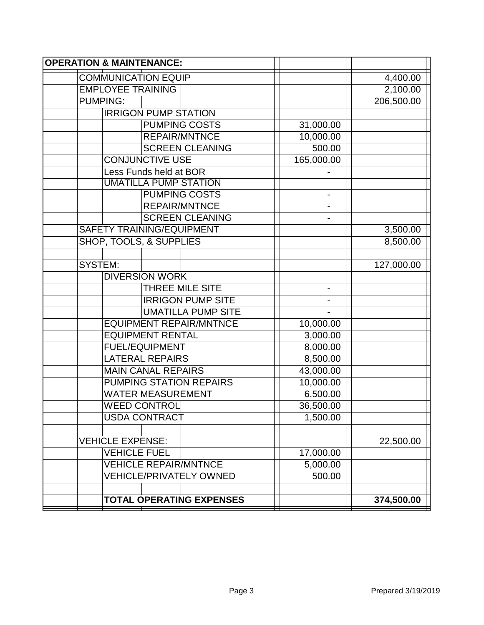| <b>OPERATION &amp; MAINTENANCE:</b> |                |            |  |  |  |
|-------------------------------------|----------------|------------|--|--|--|
| <b>COMMUNICATION EQUIP</b>          |                | 4,400.00   |  |  |  |
| <b>EMPLOYEE TRAINING</b>            |                | 2,100.00   |  |  |  |
| <b>PUMPING:</b>                     |                | 206,500.00 |  |  |  |
| <b>IRRIGON PUMP STATION</b>         |                |            |  |  |  |
| <b>PUMPING COSTS</b>                | 31,000.00      |            |  |  |  |
| <b>REPAIR/MNTNCE</b>                | 10,000.00      |            |  |  |  |
| <b>SCREEN CLEANING</b>              | 500.00         |            |  |  |  |
| <b>CONJUNCTIVE USE</b>              | 165,000.00     |            |  |  |  |
| Less Funds held at BOR              |                |            |  |  |  |
| <b>UMATILLA PUMP STATION</b>        |                |            |  |  |  |
| <b>PUMPING COSTS</b>                |                |            |  |  |  |
| <b>REPAIR/MNTNCE</b>                |                |            |  |  |  |
| <b>SCREEN CLEANING</b>              | $\blacksquare$ |            |  |  |  |
| <b>SAFETY TRAINING/EQUIPMENT</b>    |                | 3,500.00   |  |  |  |
| SHOP, TOOLS, & SUPPLIES             |                | 8,500.00   |  |  |  |
|                                     |                |            |  |  |  |
| <b>SYSTEM:</b>                      |                | 127,000.00 |  |  |  |
| <b>DIVERSION WORK</b>               |                |            |  |  |  |
| THREE MILE SITE                     |                |            |  |  |  |
| <b>IRRIGON PUMP SITE</b>            |                |            |  |  |  |
| <b>UMATILLA PUMP SITE</b>           |                |            |  |  |  |
| <b>EQUIPMENT REPAIR/MNTNCE</b>      | 10,000.00      |            |  |  |  |
| <b>EQUIPMENT RENTAL</b>             | 3,000.00       |            |  |  |  |
| <b>FUEL/EQUIPMENT</b>               | 8,000.00       |            |  |  |  |
| <b>LATERAL REPAIRS</b>              | 8,500.00       |            |  |  |  |
| <b>MAIN CANAL REPAIRS</b>           | 43,000.00      |            |  |  |  |
| <b>PUMPING STATION REPAIRS</b>      | 10,000.00      |            |  |  |  |
| <b>WATER MEASUREMENT</b>            | 6,500.00       |            |  |  |  |
| <b>WEED CONTROL</b>                 | 36,500.00      |            |  |  |  |
| <b>USDA CONTRACT</b>                | 1,500.00       |            |  |  |  |
|                                     |                |            |  |  |  |
| <b>VEHICLE EXPENSE:</b>             |                | 22,500.00  |  |  |  |
| <b>VEHICLE FUEL</b>                 | 17,000.00      |            |  |  |  |
| <b>VEHICLE REPAIR/MNTNCE</b>        | 5,000.00       |            |  |  |  |
| <b>VEHICLE/PRIVATELY OWNED</b>      | 500.00         |            |  |  |  |
|                                     |                |            |  |  |  |
| <b>TOTAL OPERATING EXPENSES</b>     |                | 374,500.00 |  |  |  |